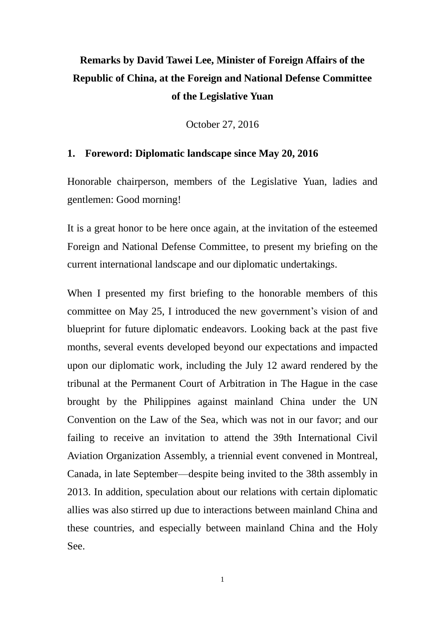# **Remarks by David Tawei Lee, Minister of Foreign Affairs of the Republic of China, at the Foreign and National Defense Committee of the Legislative Yuan**

October 27, 2016

#### **1. Foreword: Diplomatic landscape since May 20, 2016**

Honorable chairperson, members of the Legislative Yuan, ladies and gentlemen: Good morning!

It is a great honor to be here once again, at the invitation of the esteemed Foreign and National Defense Committee, to present my briefing on the current international landscape and our diplomatic undertakings.

When I presented my first briefing to the honorable members of this committee on May 25, I introduced the new government's vision of and blueprint for future diplomatic endeavors. Looking back at the past five months, several events developed beyond our expectations and impacted upon our diplomatic work, including the July 12 award rendered by the tribunal at the Permanent Court of Arbitration in The Hague in the case brought by the Philippines against mainland China under the UN Convention on the Law of the Sea, which was not in our favor; and our failing to receive an invitation to attend the 39th International Civil Aviation Organization Assembly, a triennial event convened in Montreal, Canada, in late September—despite being invited to the 38th assembly in 2013. In addition, speculation about our relations with certain diplomatic allies was also stirred up due to interactions between mainland China and these countries, and especially between mainland China and the Holy See.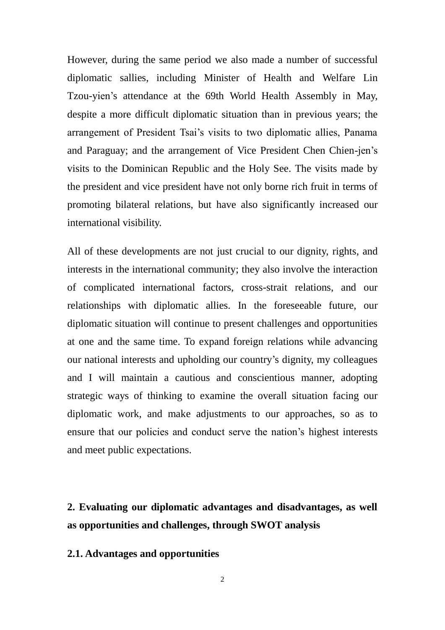However, during the same period we also made a number of successful diplomatic sallies, including Minister of Health and Welfare Lin Tzou-yien's attendance at the 69th World Health Assembly in May, despite a more difficult diplomatic situation than in previous years; the arrangement of President Tsai's visits to two diplomatic allies, Panama and Paraguay; and the arrangement of Vice President Chen Chien-jen's visits to the Dominican Republic and the Holy See. The visits made by the president and vice president have not only borne rich fruit in terms of promoting bilateral relations, but have also significantly increased our international visibility.

All of these developments are not just crucial to our dignity, rights, and interests in the international community; they also involve the interaction of complicated international factors, cross-strait relations, and our relationships with diplomatic allies. In the foreseeable future, our diplomatic situation will continue to present challenges and opportunities at one and the same time. To expand foreign relations while advancing our national interests and upholding our country's dignity, my colleagues and I will maintain a cautious and conscientious manner, adopting strategic ways of thinking to examine the overall situation facing our diplomatic work, and make adjustments to our approaches, so as to ensure that our policies and conduct serve the nation's highest interests and meet public expectations.

**2. Evaluating our diplomatic advantages and disadvantages, as well as opportunities and challenges, through SWOT analysis**

**2.1. Advantages and opportunities**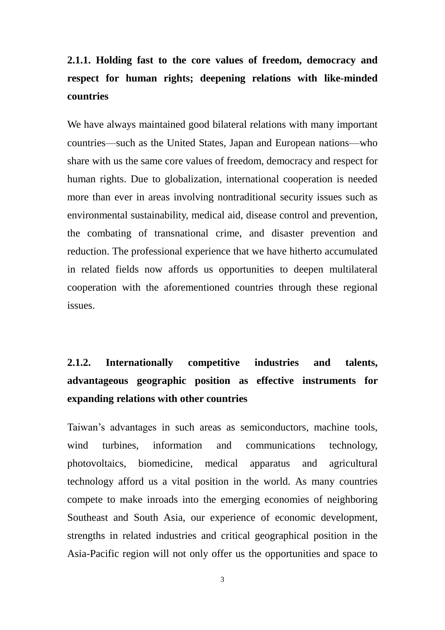# **2.1.1. Holding fast to the core values of freedom, democracy and respect for human rights; deepening relations with like-minded countries**

We have always maintained good bilateral relations with many important countries—such as the United States, Japan and European nations—who share with us the same core values of freedom, democracy and respect for human rights. Due to globalization, international cooperation is needed more than ever in areas involving nontraditional security issues such as environmental sustainability, medical aid, disease control and prevention, the combating of transnational crime, and disaster prevention and reduction. The professional experience that we have hitherto accumulated in related fields now affords us opportunities to deepen multilateral cooperation with the aforementioned countries through these regional issues.

# **2.1.2. Internationally competitive industries and talents, advantageous geographic position as effective instruments for expanding relations with other countries**

Taiwan's advantages in such areas as semiconductors, machine tools, wind turbines, information and communications technology, photovoltaics, biomedicine, medical apparatus and agricultural technology afford us a vital position in the world. As many countries compete to make inroads into the emerging economies of neighboring Southeast and South Asia, our experience of economic development, strengths in related industries and critical geographical position in the Asia-Pacific region will not only offer us the opportunities and space to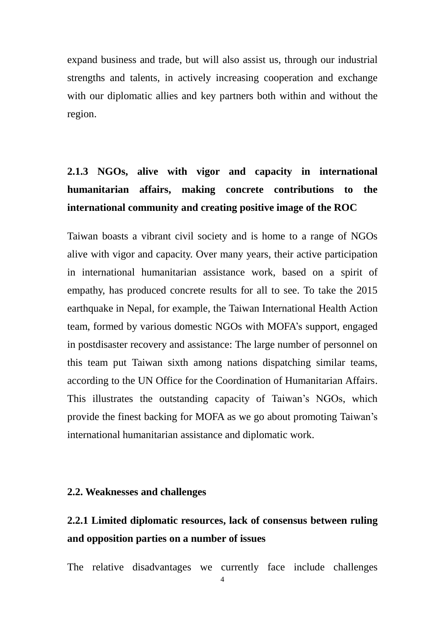expand business and trade, but will also assist us, through our industrial strengths and talents, in actively increasing cooperation and exchange with our diplomatic allies and key partners both within and without the region.

# **2.1.3 NGOs, alive with vigor and capacity in international humanitarian affairs, making concrete contributions to the international community and creating positive image of the ROC**

Taiwan boasts a vibrant civil society and is home to a range of NGOs alive with vigor and capacity. Over many years, their active participation in international humanitarian assistance work, based on a spirit of empathy, has produced concrete results for all to see. To take the 2015 earthquake in Nepal, for example, the Taiwan International Health Action team, formed by various domestic NGOs with MOFA's support, engaged in postdisaster recovery and assistance: The large number of personnel on this team put Taiwan sixth among nations dispatching similar teams, according to the UN Office for the Coordination of Humanitarian Affairs. This illustrates the outstanding capacity of Taiwan's NGOs, which provide the finest backing for MOFA as we go about promoting Taiwan's international humanitarian assistance and diplomatic work.

#### **2.2. Weaknesses and challenges**

## **2.2.1 Limited diplomatic resources, lack of consensus between ruling and opposition parties on a number of issues**

The relative disadvantages we currently face include challenges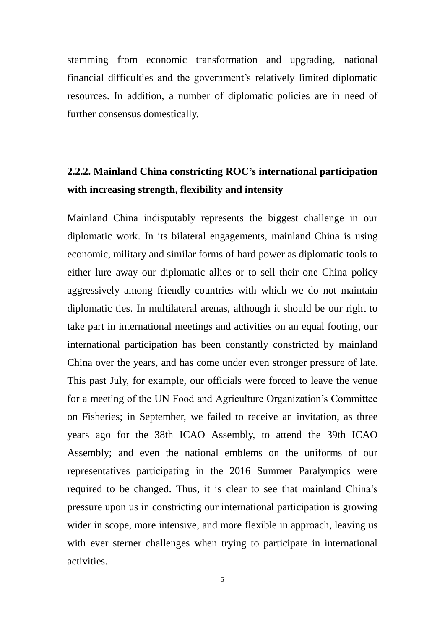stemming from economic transformation and upgrading, national financial difficulties and the government's relatively limited diplomatic resources. In addition, a number of diplomatic policies are in need of further consensus domestically.

## **2.2.2. Mainland China constricting ROC's international participation with increasing strength, flexibility and intensity**

Mainland China indisputably represents the biggest challenge in our diplomatic work. In its bilateral engagements, mainland China is using economic, military and similar forms of hard power as diplomatic tools to either lure away our diplomatic allies or to sell their one China policy aggressively among friendly countries with which we do not maintain diplomatic ties. In multilateral arenas, although it should be our right to take part in international meetings and activities on an equal footing, our international participation has been constantly constricted by mainland China over the years, and has come under even stronger pressure of late. This past July, for example, our officials were forced to leave the venue for a meeting of the UN Food and Agriculture Organization's Committee on Fisheries; in September, we failed to receive an invitation, as three years ago for the 38th ICAO Assembly, to attend the 39th ICAO Assembly; and even the national emblems on the uniforms of our representatives participating in the 2016 Summer Paralympics were required to be changed. Thus, it is clear to see that mainland China's pressure upon us in constricting our international participation is growing wider in scope, more intensive, and more flexible in approach, leaving us with ever sterner challenges when trying to participate in international activities.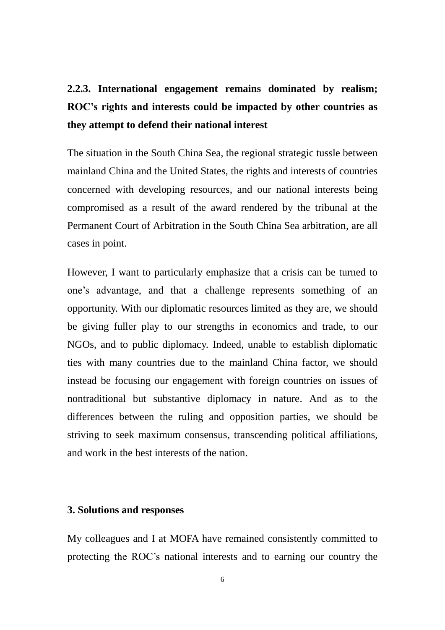# **2.2.3. International engagement remains dominated by realism; ROC's rights and interests could be impacted by other countries as they attempt to defend their national interest**

The situation in the South China Sea, the regional strategic tussle between mainland China and the United States, the rights and interests of countries concerned with developing resources, and our national interests being compromised as a result of the award rendered by the tribunal at the Permanent Court of Arbitration in the South China Sea arbitration, are all cases in point.

However, I want to particularly emphasize that a crisis can be turned to one's advantage, and that a challenge represents something of an opportunity. With our diplomatic resources limited as they are, we should be giving fuller play to our strengths in economics and trade, to our NGOs, and to public diplomacy. Indeed, unable to establish diplomatic ties with many countries due to the mainland China factor, we should instead be focusing our engagement with foreign countries on issues of nontraditional but substantive diplomacy in nature. And as to the differences between the ruling and opposition parties, we should be striving to seek maximum consensus, transcending political affiliations, and work in the best interests of the nation.

#### **3. Solutions and responses**

My colleagues and I at MOFA have remained consistently committed to protecting the ROC's national interests and to earning our country the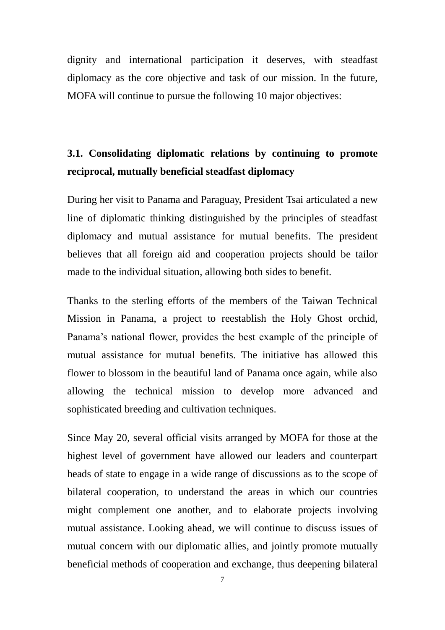dignity and international participation it deserves, with steadfast diplomacy as the core objective and task of our mission. In the future, MOFA will continue to pursue the following 10 major objectives:

## **3.1. Consolidating diplomatic relations by continuing to promote reciprocal, mutually beneficial steadfast diplomacy**

During her visit to Panama and Paraguay, President Tsai articulated a new line of diplomatic thinking distinguished by the principles of steadfast diplomacy and mutual assistance for mutual benefits. The president believes that all foreign aid and cooperation projects should be tailor made to the individual situation, allowing both sides to benefit.

Thanks to the sterling efforts of the members of the Taiwan Technical Mission in Panama, a project to reestablish the Holy Ghost orchid, Panama's national flower, provides the best example of the principle of mutual assistance for mutual benefits. The initiative has allowed this flower to blossom in the beautiful land of Panama once again, while also allowing the technical mission to develop more advanced and sophisticated breeding and cultivation techniques.

Since May 20, several official visits arranged by MOFA for those at the highest level of government have allowed our leaders and counterpart heads of state to engage in a wide range of discussions as to the scope of bilateral cooperation, to understand the areas in which our countries might complement one another, and to elaborate projects involving mutual assistance. Looking ahead, we will continue to discuss issues of mutual concern with our diplomatic allies, and jointly promote mutually beneficial methods of cooperation and exchange, thus deepening bilateral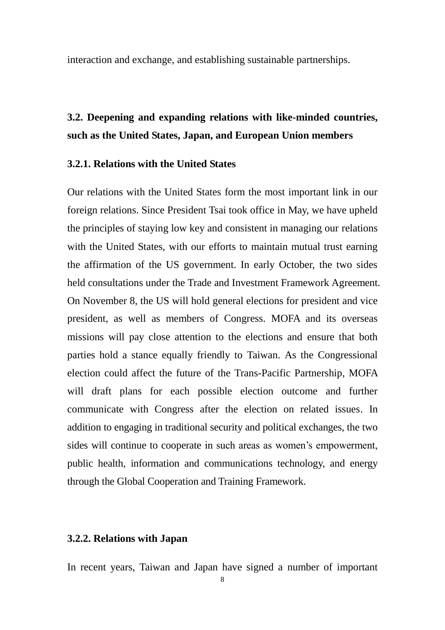interaction and exchange, and establishing sustainable partnerships.

## **3.2. Deepening and expanding relations with like-minded countries, such as the United States, Japan, and European Union members**

#### **3.2.1. Relations with the United States**

Our relations with the United States form the most important link in our foreign relations. Since President Tsai took office in May, we have upheld the principles of staying low key and consistent in managing our relations with the United States, with our efforts to maintain mutual trust earning the affirmation of the US government. In early October, the two sides held consultations under the Trade and Investment Framework Agreement. On November 8, the US will hold general elections for president and vice president, as well as members of Congress. MOFA and its overseas missions will pay close attention to the elections and ensure that both parties hold a stance equally friendly to Taiwan. As the Congressional election could affect the future of the Trans-Pacific Partnership, MOFA will draft plans for each possible election outcome and further communicate with Congress after the election on related issues. In addition to engaging in traditional security and political exchanges, the two sides will continue to cooperate in such areas as women's empowerment, public health, information and communications technology, and energy through the Global Cooperation and Training Framework.

### **3.2.2. Relations with Japan**

In recent years, Taiwan and Japan have signed a number of important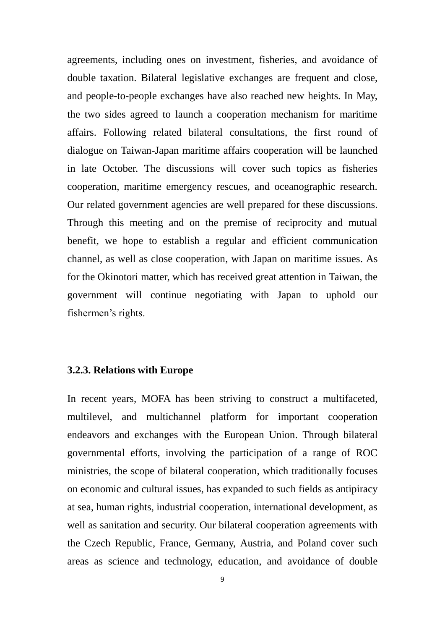agreements, including ones on investment, fisheries, and avoidance of double taxation. Bilateral legislative exchanges are frequent and close, and people-to-people exchanges have also reached new heights. In May, the two sides agreed to launch a cooperation mechanism for maritime affairs. Following related bilateral consultations, the first round of dialogue on Taiwan-Japan maritime affairs cooperation will be launched in late October. The discussions will cover such topics as fisheries cooperation, maritime emergency rescues, and oceanographic research. Our related government agencies are well prepared for these discussions. Through this meeting and on the premise of reciprocity and mutual benefit, we hope to establish a regular and efficient communication channel, as well as close cooperation, with Japan on maritime issues. As for the Okinotori matter, which has received great attention in Taiwan, the government will continue negotiating with Japan to uphold our fishermen's rights.

#### **3.2.3. Relations with Europe**

In recent years, MOFA has been striving to construct a multifaceted, multilevel, and multichannel platform for important cooperation endeavors and exchanges with the European Union. Through bilateral governmental efforts, involving the participation of a range of ROC ministries, the scope of bilateral cooperation, which traditionally focuses on economic and cultural issues, has expanded to such fields as antipiracy at sea, human rights, industrial cooperation, international development, as well as sanitation and security. Our bilateral cooperation agreements with the Czech Republic, France, Germany, Austria, and Poland cover such areas as science and technology, education, and avoidance of double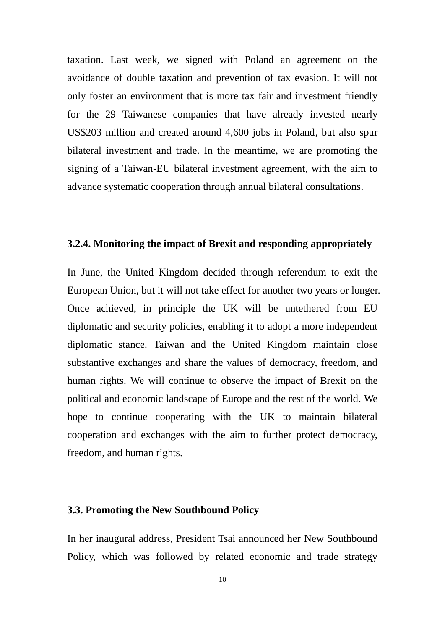taxation. Last week, we signed with Poland an agreement on the avoidance of double taxation and prevention of tax evasion. It will not only foster an environment that is more tax fair and investment friendly for the 29 Taiwanese companies that have already invested nearly US\$203 million and created around 4,600 jobs in Poland, but also spur bilateral investment and trade. In the meantime, we are promoting the signing of a Taiwan-EU bilateral investment agreement, with the aim to advance systematic cooperation through annual bilateral consultations.

### **3.2.4. Monitoring the impact of Brexit and responding appropriately**

In June, the United Kingdom decided through referendum to exit the European Union, but it will not take effect for another two years or longer. Once achieved, in principle the UK will be untethered from EU diplomatic and security policies, enabling it to adopt a more independent diplomatic stance. Taiwan and the United Kingdom maintain close substantive exchanges and share the values of democracy, freedom, and human rights. We will continue to observe the impact of Brexit on the political and economic landscape of Europe and the rest of the world. We hope to continue cooperating with the UK to maintain bilateral cooperation and exchanges with the aim to further protect democracy, freedom, and human rights.

#### **3.3. Promoting the New Southbound Policy**

In her inaugural address, President Tsai announced her New Southbound Policy, which was followed by related economic and trade strategy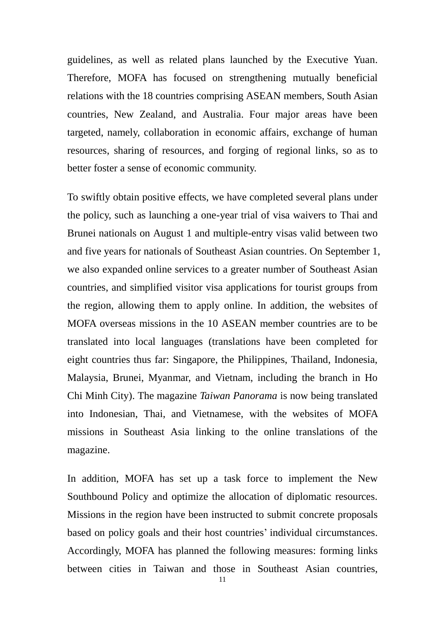guidelines, as well as related plans launched by the Executive Yuan. Therefore, MOFA has focused on strengthening mutually beneficial relations with the 18 countries comprising ASEAN members, South Asian countries, New Zealand, and Australia. Four major areas have been targeted, namely, collaboration in economic affairs, exchange of human resources, sharing of resources, and forging of regional links, so as to better foster a sense of economic community.

To swiftly obtain positive effects, we have completed several plans under the policy, such as launching a one-year trial of visa waivers to Thai and Brunei nationals on August 1 and multiple-entry visas valid between two and five years for nationals of Southeast Asian countries. On September 1, we also expanded online services to a greater number of Southeast Asian countries, and simplified visitor visa applications for tourist groups from the region, allowing them to apply online. In addition, the websites of MOFA overseas missions in the 10 ASEAN member countries are to be translated into local languages (translations have been completed for eight countries thus far: Singapore, the Philippines, Thailand, Indonesia, Malaysia, Brunei, Myanmar, and Vietnam, including the branch in Ho Chi Minh City). The magazine *Taiwan Panorama* is now being translated into Indonesian, Thai, and Vietnamese, with the websites of MOFA missions in Southeast Asia linking to the online translations of the magazine.

In addition, MOFA has set up a task force to implement the New Southbound Policy and optimize the allocation of diplomatic resources. Missions in the region have been instructed to submit concrete proposals based on policy goals and their host countries' individual circumstances. Accordingly, MOFA has planned the following measures: forming links between cities in Taiwan and those in Southeast Asian countries,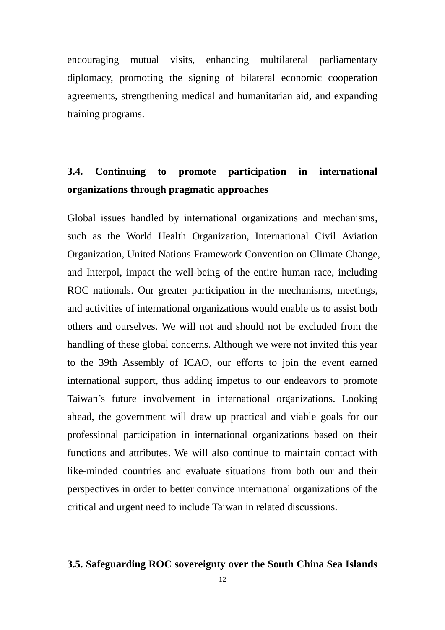encouraging mutual visits, enhancing multilateral parliamentary diplomacy, promoting the signing of bilateral economic cooperation agreements, strengthening medical and humanitarian aid, and expanding training programs.

## **3.4. Continuing to promote participation in international organizations through pragmatic approaches**

Global issues handled by international organizations and mechanisms, such as the World Health Organization, International Civil Aviation Organization, United Nations Framework Convention on Climate Change, and Interpol, impact the well-being of the entire human race, including ROC nationals. Our greater participation in the mechanisms, meetings, and activities of international organizations would enable us to assist both others and ourselves. We will not and should not be excluded from the handling of these global concerns. Although we were not invited this year to the 39th Assembly of ICAO, our efforts to join the event earned international support, thus adding impetus to our endeavors to promote Taiwan's future involvement in international organizations. Looking ahead, the government will draw up practical and viable goals for our professional participation in international organizations based on their functions and attributes. We will also continue to maintain contact with like-minded countries and evaluate situations from both our and their perspectives in order to better convince international organizations of the critical and urgent need to include Taiwan in related discussions.

### **3.5. Safeguarding ROC sovereignty over the South China Sea Islands**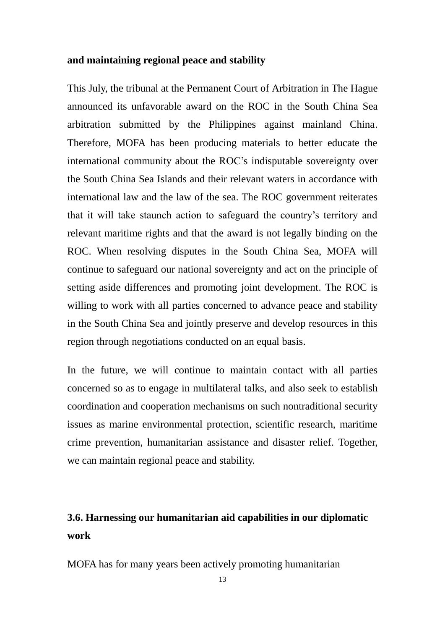#### **and maintaining regional peace and stability**

This July, the tribunal at the Permanent Court of Arbitration in The Hague announced its unfavorable award on the ROC in the South China Sea arbitration submitted by the Philippines against mainland China. Therefore, MOFA has been producing materials to better educate the international community about the ROC's indisputable sovereignty over the South China Sea Islands and their relevant waters in accordance with international law and the law of the sea. The ROC government reiterates that it will take staunch action to safeguard the country's territory and relevant maritime rights and that the award is not legally binding on the ROC. When resolving disputes in the South China Sea, MOFA will continue to safeguard our national sovereignty and act on the principle of setting aside differences and promoting joint development. The ROC is willing to work with all parties concerned to advance peace and stability in the South China Sea and jointly preserve and develop resources in this region through negotiations conducted on an equal basis.

In the future, we will continue to maintain contact with all parties concerned so as to engage in multilateral talks, and also seek to establish coordination and cooperation mechanisms on such nontraditional security issues as marine environmental protection, scientific research, maritime crime prevention, humanitarian assistance and disaster relief. Together, we can maintain regional peace and stability.

## **3.6. Harnessing our humanitarian aid capabilities in our diplomatic work**

MOFA has for many years been actively promoting humanitarian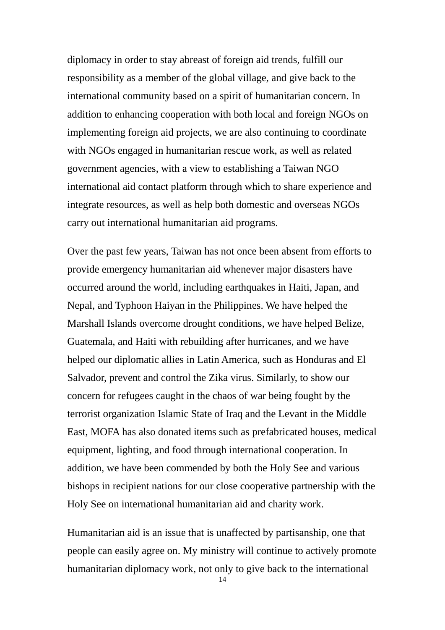diplomacy in order to stay abreast of foreign aid trends, fulfill our responsibility as a member of the global village, and give back to the international community based on a spirit of humanitarian concern. In addition to enhancing cooperation with both local and foreign NGOs on implementing foreign aid projects, we are also continuing to coordinate with NGOs engaged in humanitarian rescue work, as well as related government agencies, with a view to establishing a Taiwan NGO international aid contact platform through which to share experience and integrate resources, as well as help both domestic and overseas NGOs carry out international humanitarian aid programs.

Over the past few years, Taiwan has not once been absent from efforts to provide emergency humanitarian aid whenever major disasters have occurred around the world, including earthquakes in Haiti, Japan, and Nepal, and Typhoon Haiyan in the Philippines. We have helped the Marshall Islands overcome drought conditions, we have helped Belize, Guatemala, and Haiti with rebuilding after hurricanes, and we have helped our diplomatic allies in Latin America, such as Honduras and El Salvador, prevent and control the Zika virus. Similarly, to show our concern for refugees caught in the chaos of war being fought by the terrorist organization Islamic State of Iraq and the Levant in the Middle East, MOFA has also donated items such as prefabricated houses, medical equipment, lighting, and food through international cooperation. In addition, we have been commended by both the Holy See and various bishops in recipient nations for our close cooperative partnership with the Holy See on international humanitarian aid and charity work.

Humanitarian aid is an issue that is unaffected by partisanship, one that people can easily agree on. My ministry will continue to actively promote humanitarian diplomacy work, not only to give back to the international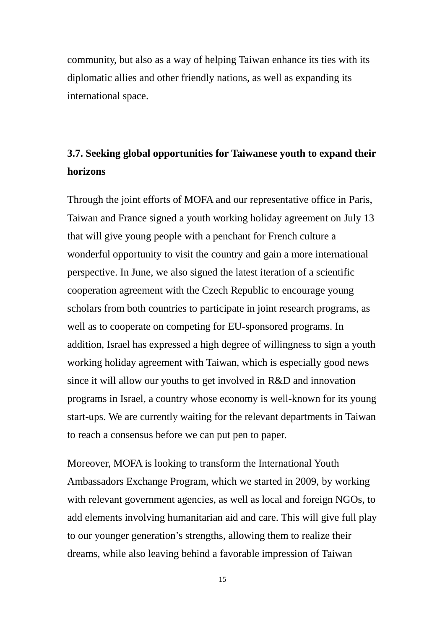community, but also as a way of helping Taiwan enhance its ties with its diplomatic allies and other friendly nations, as well as expanding its international space.

## **3.7. Seeking global opportunities for Taiwanese youth to expand their horizons**

Through the joint efforts of MOFA and our representative office in Paris, Taiwan and France signed a youth working holiday agreement on July 13 that will give young people with a penchant for French culture a wonderful opportunity to visit the country and gain a more international perspective. In June, we also signed the latest iteration of a scientific cooperation agreement with the Czech Republic to encourage young scholars from both countries to participate in joint research programs, as well as to cooperate on competing for EU-sponsored programs. In addition, Israel has expressed a high degree of willingness to sign a youth working holiday agreement with Taiwan, which is especially good news since it will allow our youths to get involved in R&D and innovation programs in Israel, a country whose economy is well-known for its young start-ups. We are currently waiting for the relevant departments in Taiwan to reach a consensus before we can put pen to paper.

Moreover, MOFA is looking to transform the International Youth Ambassadors Exchange Program, which we started in 2009, by working with relevant government agencies, as well as local and foreign NGOs, to add elements involving humanitarian aid and care. This will give full play to our younger generation's strengths, allowing them to realize their dreams, while also leaving behind a favorable impression of Taiwan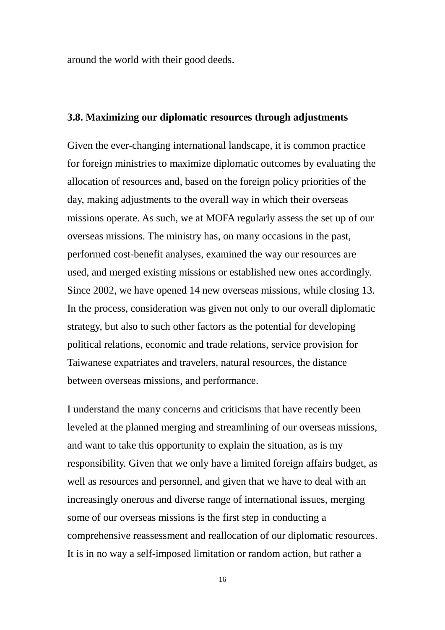around the world with their good deeds.

#### **3.8. Maximizing our diplomatic resources through adjustments**

Given the ever-changing international landscape, it is common practice for foreign ministries to maximize diplomatic outcomes by evaluating the allocation of resources and, based on the foreign policy priorities of the day, making adjustments to the overall way in which their overseas missions operate. As such, we at MOFA regularly assess the set up of our overseas missions. The ministry has, on many occasions in the past, performed cost-benefit analyses, examined the way our resources are used, and merged existing missions or established new ones accordingly. Since 2002, we have opened 14 new overseas missions, while closing 13. In the process, consideration was given not only to our overall diplomatic strategy, but also to such other factors as the potential for developing political relations, economic and trade relations, service provision for Taiwanese expatriates and travelers, natural resources, the distance between overseas missions, and performance.

I understand the many concerns and criticisms that have recently been leveled at the planned merging and streamlining of our overseas missions, and want to take this opportunity to explain the situation, as is my responsibility. Given that we only have a limited foreign affairs budget, as well as resources and personnel, and given that we have to deal with an increasingly onerous and diverse range of international issues, merging some of our overseas missions is the first step in conducting a comprehensive reassessment and reallocation of our diplomatic resources. It is in no way a self-imposed limitation or random action, but rather a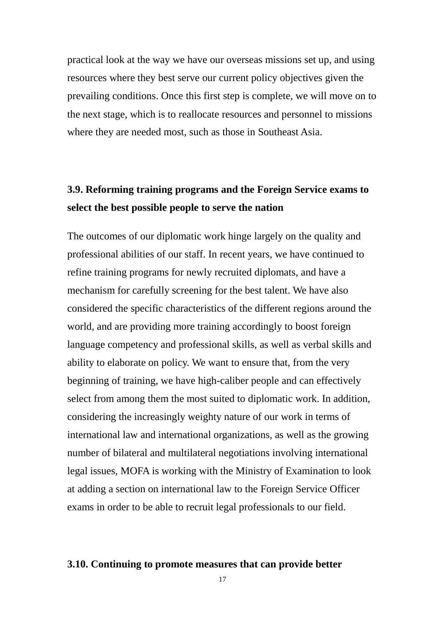practical look at the way we have our overseas missions set up, and using resources where they best serve our current policy objectives given the prevailing conditions. Once this first step is complete, we will move on to the next stage, which is to reallocate resources and personnel to missions where they are needed most, such as those in Southeast Asia.

## **3.9. Reforming training programs and the Foreign Service exams to select the best possible people to serve the nation**

The outcomes of our diplomatic work hinge largely on the quality and professional abilities of our staff. In recent years, we have continued to refine training programs for newly recruited diplomats, and have a mechanism for carefully screening for the best talent. We have also considered the specific characteristics of the different regions around the world, and are providing more training accordingly to boost foreign language competency and professional skills, as well as verbal skills and ability to elaborate on policy. We want to ensure that, from the very beginning of training, we have high-caliber people and can effectively select from among them the most suited to diplomatic work. In addition, considering the increasingly weighty nature of our work in terms of international law and international organizations, as well as the growing number of bilateral and multilateral negotiations involving international legal issues, MOFA is working with the Ministry of Examination to look at adding a section on international law to the Foreign Service Officer exams in order to be able to recruit legal professionals to our field.

### **3.10. Continuing to promote measures that can provide better**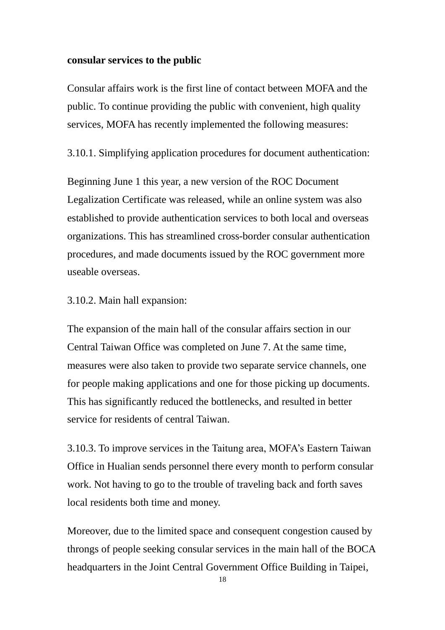#### **consular services to the public**

Consular affairs work is the first line of contact between MOFA and the public. To continue providing the public with convenient, high quality services, MOFA has recently implemented the following measures:

3.10.1. Simplifying application procedures for document authentication:

Beginning June 1 this year, a new version of the ROC Document Legalization Certificate was released, while an online system was also established to provide authentication services to both local and overseas organizations. This has streamlined cross-border consular authentication procedures, and made documents issued by the ROC government more useable overseas.

3.10.2. Main hall expansion:

The expansion of the main hall of the consular affairs section in our Central Taiwan Office was completed on June 7. At the same time, measures were also taken to provide two separate service channels, one for people making applications and one for those picking up documents. This has significantly reduced the bottlenecks, and resulted in better service for residents of central Taiwan.

3.10.3. To improve services in the Taitung area, MOFA's Eastern Taiwan Office in Hualian sends personnel there every month to perform consular work. Not having to go to the trouble of traveling back and forth saves local residents both time and money.

Moreover, due to the limited space and consequent congestion caused by throngs of people seeking consular services in the main hall of the BOCA headquarters in the Joint Central Government Office Building in Taipei,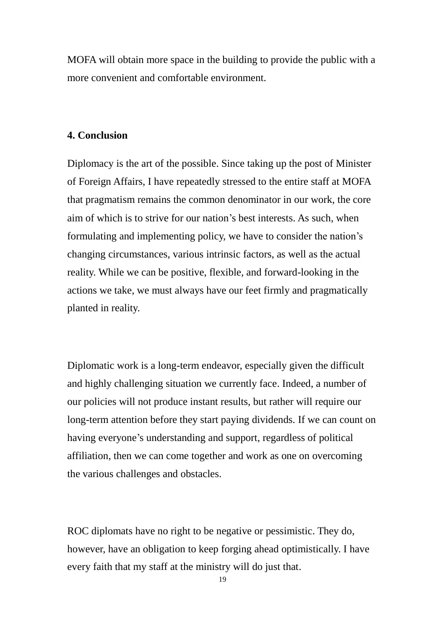MOFA will obtain more space in the building to provide the public with a more convenient and comfortable environment.

### **4. Conclusion**

Diplomacy is the art of the possible. Since taking up the post of Minister of Foreign Affairs, I have repeatedly stressed to the entire staff at MOFA that pragmatism remains the common denominator in our work, the core aim of which is to strive for our nation's best interests. As such, when formulating and implementing policy, we have to consider the nation's changing circumstances, various intrinsic factors, as well as the actual reality. While we can be positive, flexible, and forward-looking in the actions we take, we must always have our feet firmly and pragmatically planted in reality.

Diplomatic work is a long-term endeavor, especially given the difficult and highly challenging situation we currently face. Indeed, a number of our policies will not produce instant results, but rather will require our long-term attention before they start paying dividends. If we can count on having everyone's understanding and support, regardless of political affiliation, then we can come together and work as one on overcoming the various challenges and obstacles.

ROC diplomats have no right to be negative or pessimistic. They do, however, have an obligation to keep forging ahead optimistically. I have every faith that my staff at the ministry will do just that.